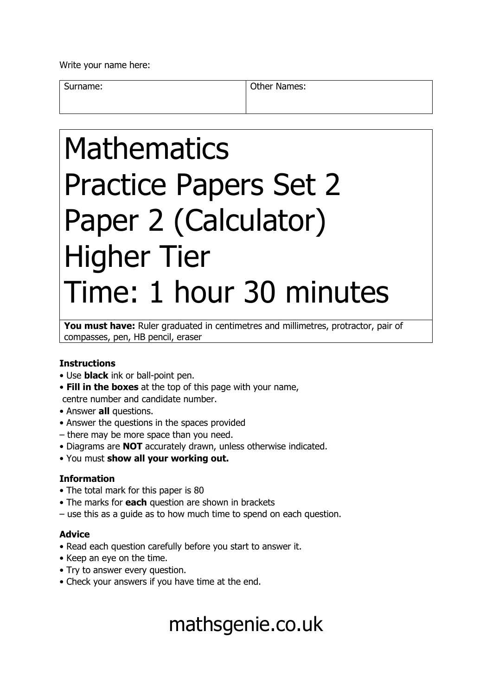Write your name here:

Surname: **Other Names: Other Names:** 

# Mathematics Practice Papers Set 2 Paper 2 (Calculator) Higher Tier Time: 1 hour 30 minutes

You must have: Ruler graduated in centimetres and millimetres, protractor, pair of compasses, pen, HB pencil, eraser

### **Instructions**

- Use **black** ink or ball-point pen.
- **Fill in the boxes** at the top of this page with your name, centre number and candidate number.
- Answer **all** questions.
- Answer the questions in the spaces provided
- there may be more space than you need.
- Diagrams are **NOT** accurately drawn, unless otherwise indicated.
- You must **show all your working out.**

#### **Information**

- The total mark for this paper is 80
- The marks for **each** question are shown in brackets
- use this as a guide as to how much time to spend on each question.

### **Advice**

- Read each question carefully before you start to answer it.
- Keep an eye on the time.
- Try to answer every question.
- Check your answers if you have time at the end.

## mathsgenie.co.uk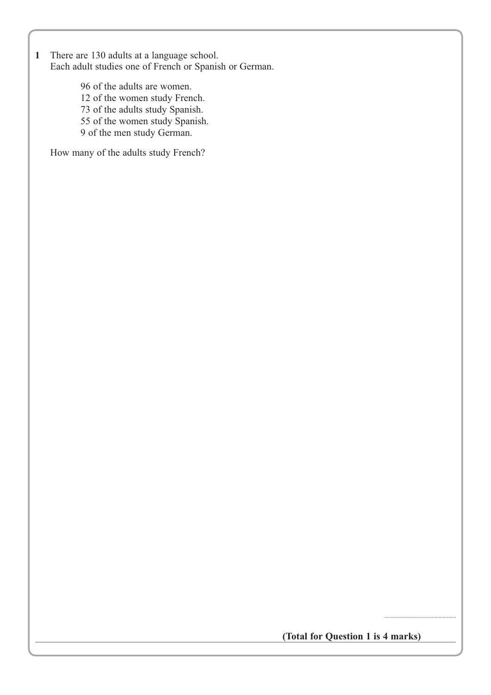**1** There are 130 adults at a language school. Each adult studies one of French or Spanish or German.

> 96 of the adults are women. 12 of the women study French. 73 of the adults study Spanish. 55 of the women study Spanish. 9 of the men study German.

How many of the adults study French?

**(Total for Question 1 is 4 marks)**

..........................................................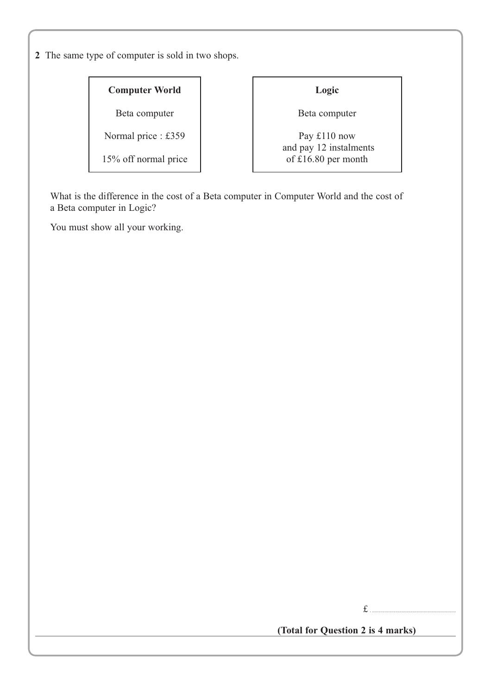**2** The same type of computer is sold in two shops.

### **Computer World**

Beta computer

Normal price : £359

15% off normal price

### **Logic**

Beta computer

Pay £110 now and pay 12 instalments of £16.80 per month

What is the difference in the cost of a Beta computer in Computer World and the cost of a Beta computer in Logic?

You must show all your working.

 $f_{\perp}$ 

**(Total for Question 2 is 4 marks)**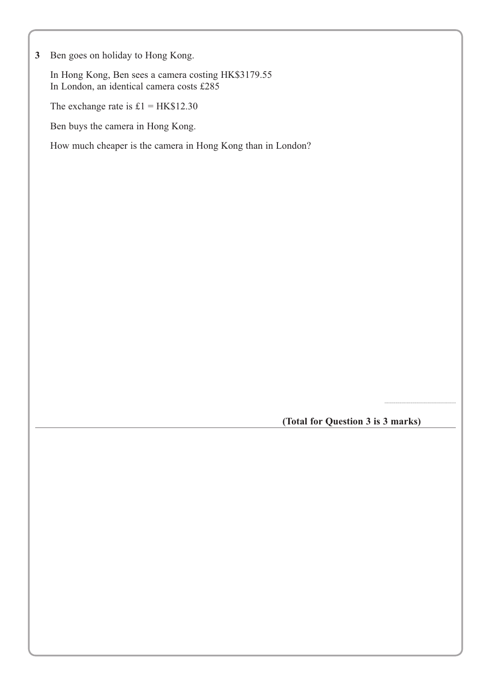**3** Ben goes on holiday to Hong Kong.

In Hong Kong, Ben sees a camera costing HK\$3179.55 In London, an identical camera costs £285

The exchange rate is  $£1 = HK$12.30$ 

Ben buys the camera in Hong Kong.

How much cheaper is the camera in Hong Kong than in London?

**(Total for Question 3 is 3 marks)**

..........................................................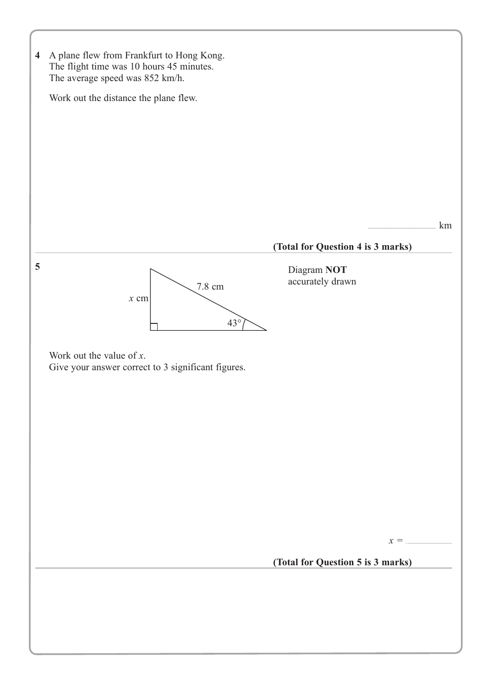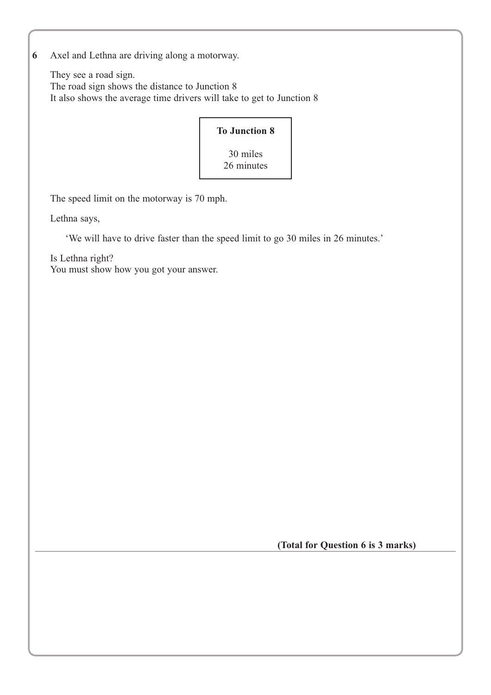**6** Axel and Lethna are driving along a motorway.

They see a road sign. The road sign shows the distance to Junction 8 It also shows the average time drivers will take to get to Junction 8

| <b>To Junction 8</b>   |  |
|------------------------|--|
| 30 miles<br>26 minutes |  |

The speed limit on the motorway is 70 mph.

Lethna says,

'We will have to drive faster than the speed limit to go 30 miles in 26 minutes.'

Is Lethna right? You must show how you got your answer.

 **(Total for Question 6 is 3 marks)**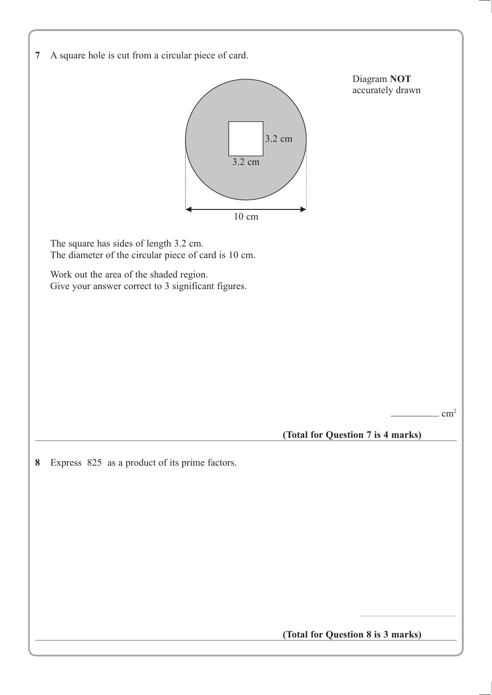|  |  | 7 A square hole is cut from a circular piece of card. |  |
|--|--|-------------------------------------------------------|--|
|  |  |                                                       |  |



**(Total for Question 8 is 3 marks)**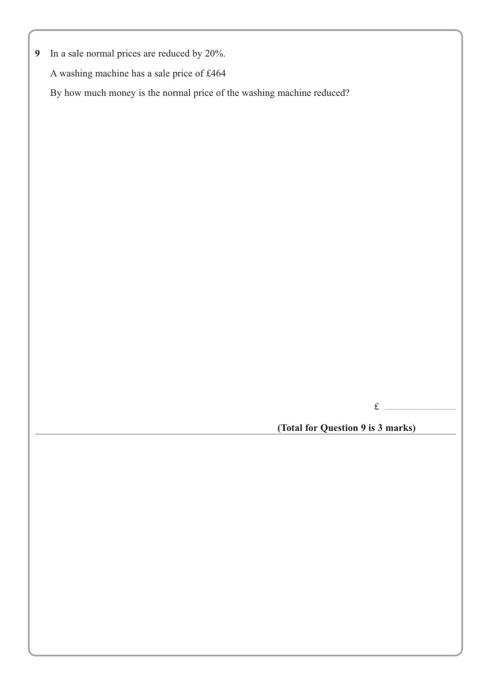**9** In a sale normal prices are reduced by 20%.

A washing machine has a sale price of £464

By how much money is the normal price of the washing machine reduced?

£ . .........................................................

**(Total for Question 9 is 3 marks)**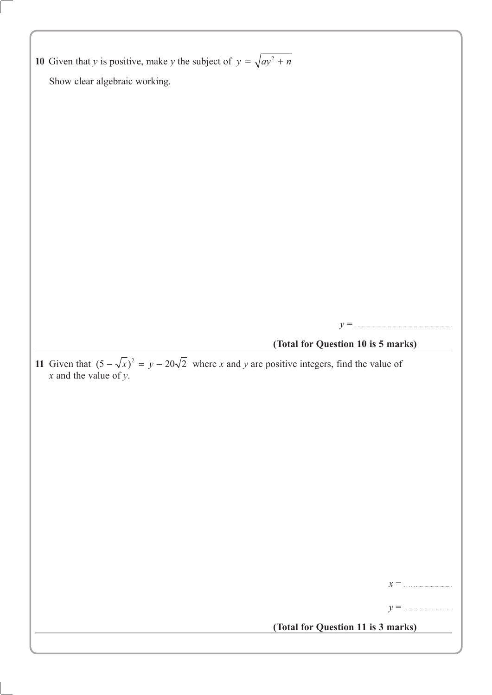**10** Given that *y* is positive, make *y* the subject of  $y = \sqrt{ay^2 + n}$ Show clear algebraic working.  $y = 1$ **(Total for Question 10 is 5 marks) 11** Given that  $(5 - \sqrt{x})^2 = y - 20\sqrt{2}$  where *x* and *y* are positive integers, find the value of *x* and the value of *y*. *x* = . . . . . ............................. *y* = . ..................................... **(Total for Question 11 is 3 marks)**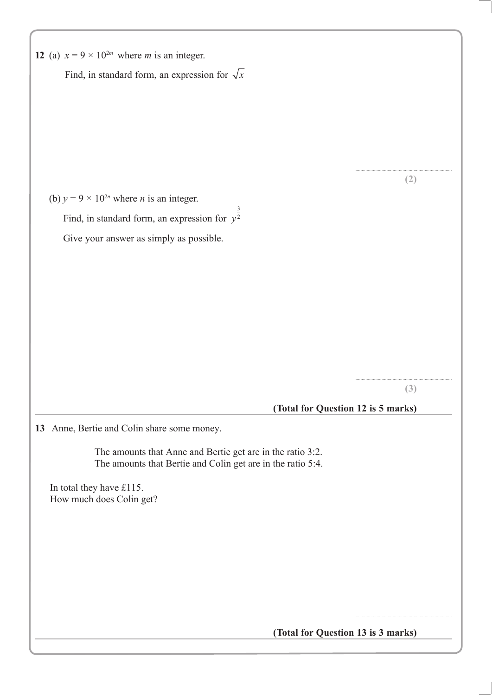| 12 (a) $x = 9 \times 10^{2m}$ where <i>m</i> is an integer.                                                               |     |
|---------------------------------------------------------------------------------------------------------------------------|-----|
| Find, in standard form, an expression for $\sqrt{x}$                                                                      |     |
|                                                                                                                           |     |
|                                                                                                                           |     |
|                                                                                                                           |     |
|                                                                                                                           |     |
|                                                                                                                           | (2) |
| (b) $y = 9 \times 10^{2n}$ where <i>n</i> is an integer.                                                                  |     |
| Find, in standard form, an expression for $y^{\frac{3}{2}}$                                                               |     |
| Give your answer as simply as possible.                                                                                   |     |
|                                                                                                                           |     |
|                                                                                                                           |     |
|                                                                                                                           |     |
|                                                                                                                           |     |
|                                                                                                                           |     |
|                                                                                                                           |     |
|                                                                                                                           | (3) |
| (Total for Question 12 is 5 marks)                                                                                        |     |
| 13 Anne, Bertie and Colin share some money.                                                                               |     |
| The amounts that Anne and Bertie get are in the ratio 3:2.<br>The amounts that Bertie and Colin get are in the ratio 5:4. |     |
| In total they have £115.<br>How much does Colin get?                                                                      |     |
|                                                                                                                           |     |
|                                                                                                                           |     |
|                                                                                                                           |     |
|                                                                                                                           |     |
|                                                                                                                           |     |
|                                                                                                                           |     |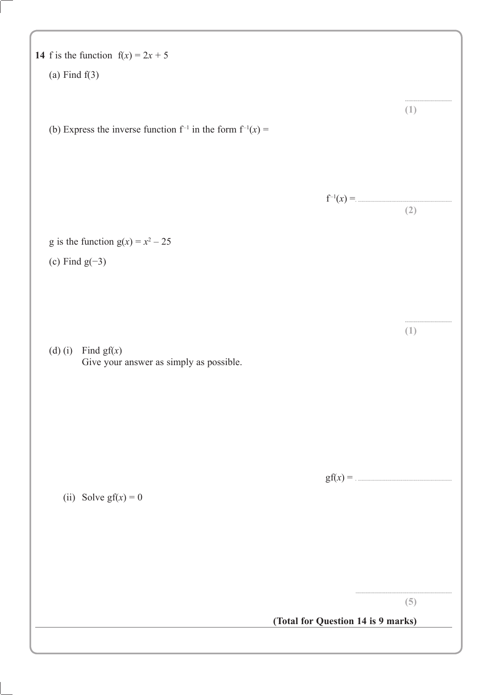| 14 f is the function $f(x) = 2x + 5$                                |                                    |                   |
|---------------------------------------------------------------------|------------------------------------|-------------------|
| (a) Find $f(3)$                                                     |                                    |                   |
| (b) Express the inverse function $f^{-1}$ in the form $f^{-1}(x) =$ |                                    | (1)               |
|                                                                     |                                    | $f^{-1}(x) =$ (2) |
| g is the function $g(x) = x^2 - 25$                                 |                                    |                   |
| (c) Find $g(-3)$                                                    |                                    |                   |
| (d) (i) Find $gf(x)$<br>Give your answer as simply as possible.     |                                    | (1)               |
| (ii) Solve $gf(x) = 0$                                              |                                    | $gf(x) =$         |
|                                                                     |                                    | (5)               |
|                                                                     | (Total for Question 14 is 9 marks) |                   |
|                                                                     |                                    |                   |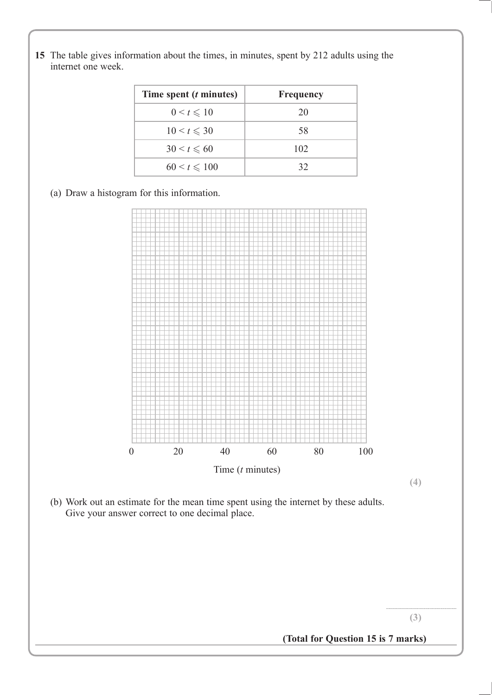- **Time spent (***t* **minutes) Frequency**  $0 < t \leq 10$  20  $10 \le t \le 30$  58  $30 < t \leq 60$  102  $60 < t \leq 100$  32
- **15** The table gives information about the times, in minutes, spent by 212 adults using the internet one week.

(a) Draw a histogram for this information.



**(4)**

(b) Work out an estimate for the mean time spent using the internet by these adults. Give your answer correct to one decimal place.

> ......................................................... **(3)**

**(Total for Question 15 is 7 marks)**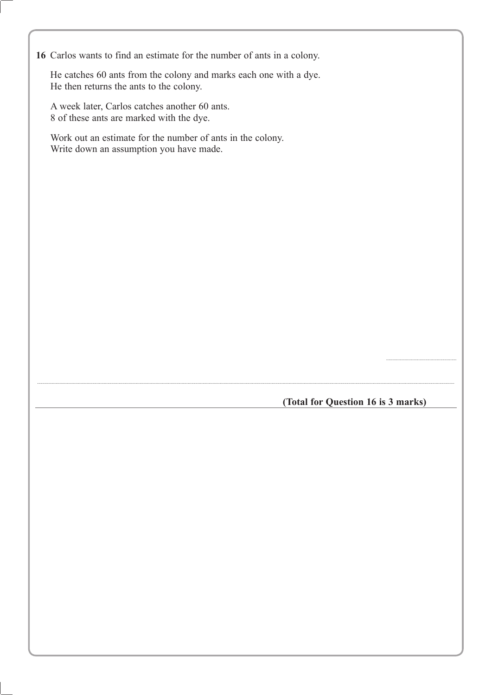**8** Carlos wants to find an estimate for the number of ants in a colony. **16**

He catches 60 ants from the colony and marks each one with a dye. He then returns the ants to the colony.

A week later, Carlos catches another 60 ants. 8 of these ants are marked with the dye.

Work out an estimate for the number of ants in the colony. Write down an assumption you have made.

**(Total for Question 16 is 3 marks)**

..................................................................................................................................................................................................................................................................................................................................................

.........................................................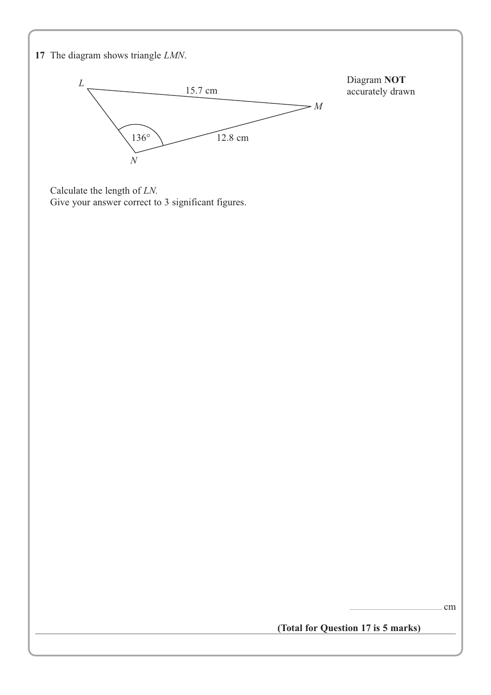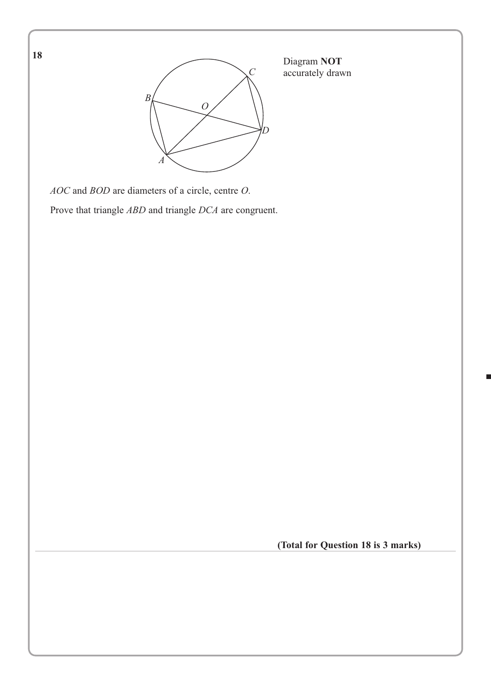